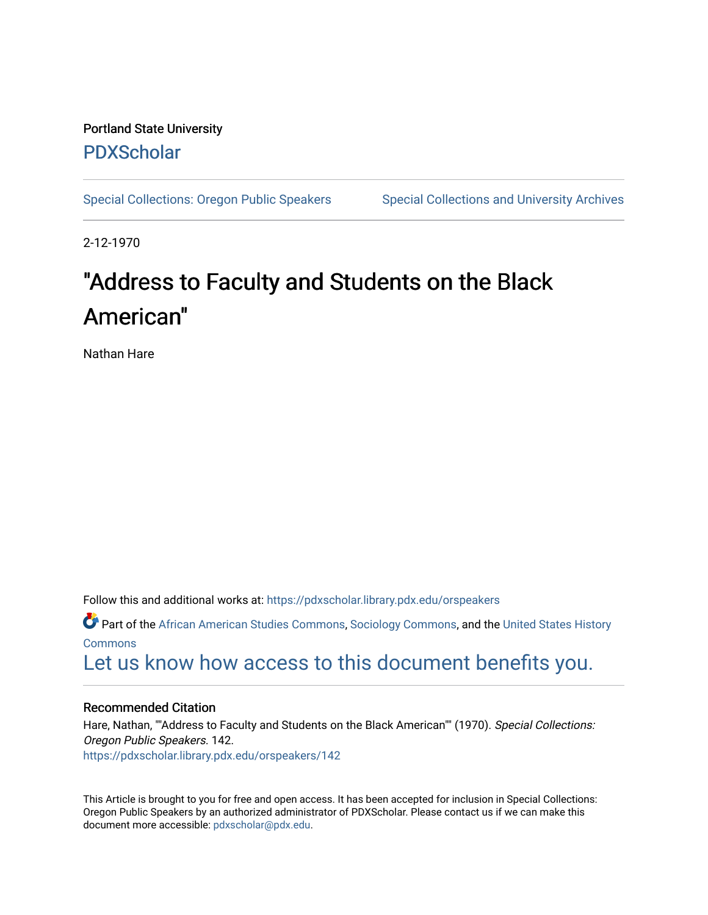# Portland State University [PDXScholar](https://pdxscholar.library.pdx.edu/)

[Special Collections: Oregon Public Speakers](https://pdxscholar.library.pdx.edu/orspeakers) Special Collections and University Archives

2-12-1970

# "Address to Faculty and Students on the Black American"

Nathan Hare

Follow this and additional works at: [https://pdxscholar.library.pdx.edu/orspeakers](https://pdxscholar.library.pdx.edu/orspeakers?utm_source=pdxscholar.library.pdx.edu%2Forspeakers%2F142&utm_medium=PDF&utm_campaign=PDFCoverPages) 

Part of the [African American Studies Commons,](http://network.bepress.com/hgg/discipline/567?utm_source=pdxscholar.library.pdx.edu%2Forspeakers%2F142&utm_medium=PDF&utm_campaign=PDFCoverPages) [Sociology Commons](http://network.bepress.com/hgg/discipline/416?utm_source=pdxscholar.library.pdx.edu%2Forspeakers%2F142&utm_medium=PDF&utm_campaign=PDFCoverPages), and the [United States History](http://network.bepress.com/hgg/discipline/495?utm_source=pdxscholar.library.pdx.edu%2Forspeakers%2F142&utm_medium=PDF&utm_campaign=PDFCoverPages)  [Commons](http://network.bepress.com/hgg/discipline/495?utm_source=pdxscholar.library.pdx.edu%2Forspeakers%2F142&utm_medium=PDF&utm_campaign=PDFCoverPages)

[Let us know how access to this document benefits you.](http://library.pdx.edu/services/pdxscholar-services/pdxscholar-feedback/?ref=https://pdxscholar.library.pdx.edu/orspeakers/142) 

#### Recommended Citation

Hare, Nathan, ""Address to Faculty and Students on the Black American"" (1970). Special Collections: Oregon Public Speakers. 142. [https://pdxscholar.library.pdx.edu/orspeakers/142](https://pdxscholar.library.pdx.edu/orspeakers/142?utm_source=pdxscholar.library.pdx.edu%2Forspeakers%2F142&utm_medium=PDF&utm_campaign=PDFCoverPages) 

This Article is brought to you for free and open access. It has been accepted for inclusion in Special Collections: Oregon Public Speakers by an authorized administrator of PDXScholar. Please contact us if we can make this document more accessible: [pdxscholar@pdx.edu.](mailto:pdxscholar@pdx.edu)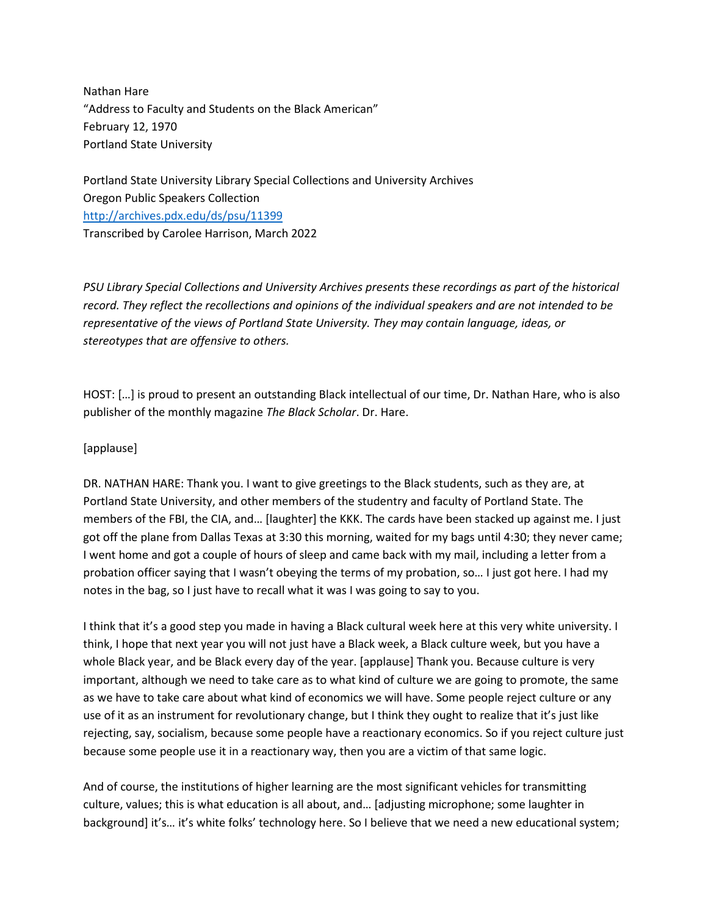Nathan Hare "Address to Faculty and Students on the Black American" February 12, 1970 Portland State University

Portland State University Library Special Collections and University Archives Oregon Public Speakers Collection <http://archives.pdx.edu/ds/psu/11399> Transcribed by Carolee Harrison, March 2022

*PSU Library Special Collections and University Archives presents these recordings as part of the historical record. They reflect the recollections and opinions of the individual speakers and are not intended to be representative of the views of Portland State University. They may contain language, ideas, or stereotypes that are offensive to others.*

HOST: […] is proud to present an outstanding Black intellectual of our time, Dr. Nathan Hare, who is also publisher of the monthly magazine *The Black Scholar*. Dr. Hare.

### [applause]

DR. NATHAN HARE: Thank you. I want to give greetings to the Black students, such as they are, at Portland State University, and other members of the studentry and faculty of Portland State. The members of the FBI, the CIA, and… [laughter] the KKK. The cards have been stacked up against me. I just got off the plane from Dallas Texas at 3:30 this morning, waited for my bags until 4:30; they never came; I went home and got a couple of hours of sleep and came back with my mail, including a letter from a probation officer saying that I wasn't obeying the terms of my probation, so… I just got here. I had my notes in the bag, so I just have to recall what it was I was going to say to you.

I think that it's a good step you made in having a Black cultural week here at this very white university. I think, I hope that next year you will not just have a Black week, a Black culture week, but you have a whole Black year, and be Black every day of the year. [applause] Thank you. Because culture is very important, although we need to take care as to what kind of culture we are going to promote, the same as we have to take care about what kind of economics we will have. Some people reject culture or any use of it as an instrument for revolutionary change, but I think they ought to realize that it's just like rejecting, say, socialism, because some people have a reactionary economics. So if you reject culture just because some people use it in a reactionary way, then you are a victim of that same logic.

And of course, the institutions of higher learning are the most significant vehicles for transmitting culture, values; this is what education is all about, and… [adjusting microphone; some laughter in background] it's… it's white folks' technology here. So I believe that we need a new educational system;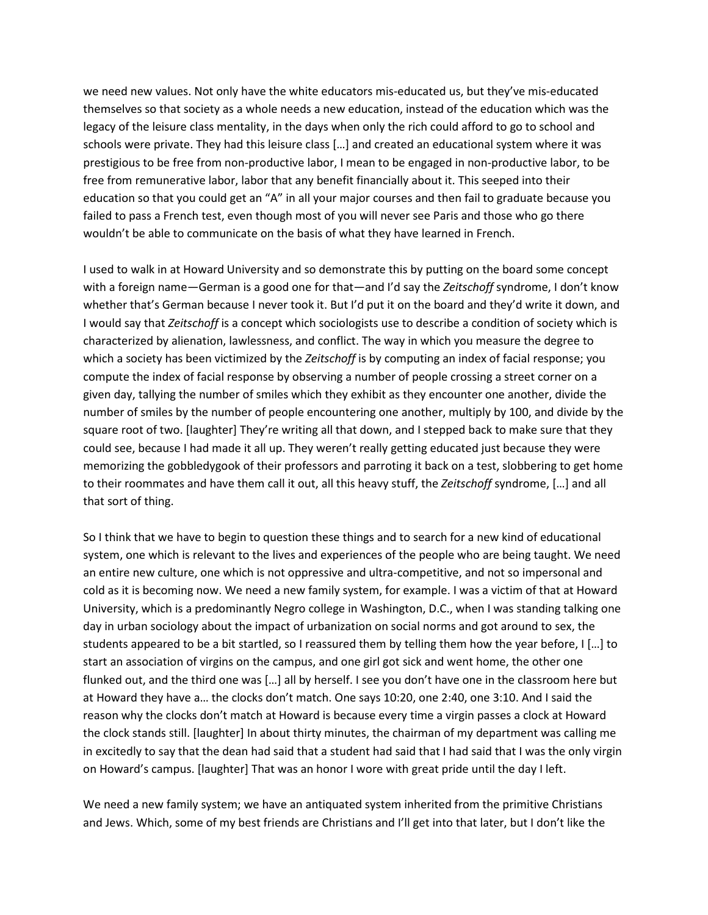we need new values. Not only have the white educators mis-educated us, but they've mis-educated themselves so that society as a whole needs a new education, instead of the education which was the legacy of the leisure class mentality, in the days when only the rich could afford to go to school and schools were private. They had this leisure class […] and created an educational system where it was prestigious to be free from non-productive labor, I mean to be engaged in non-productive labor, to be free from remunerative labor, labor that any benefit financially about it. This seeped into their education so that you could get an "A" in all your major courses and then fail to graduate because you failed to pass a French test, even though most of you will never see Paris and those who go there wouldn't be able to communicate on the basis of what they have learned in French.

I used to walk in at Howard University and so demonstrate this by putting on the board some concept with a foreign name—German is a good one for that—and I'd say the *Zeitschoff* syndrome, I don't know whether that's German because I never took it. But I'd put it on the board and they'd write it down, and I would say that *Zeitschoff* is a concept which sociologists use to describe a condition of society which is characterized by alienation, lawlessness, and conflict. The way in which you measure the degree to which a society has been victimized by the *Zeitschoff* is by computing an index of facial response; you compute the index of facial response by observing a number of people crossing a street corner on a given day, tallying the number of smiles which they exhibit as they encounter one another, divide the number of smiles by the number of people encountering one another, multiply by 100, and divide by the square root of two. [laughter] They're writing all that down, and I stepped back to make sure that they could see, because I had made it all up. They weren't really getting educated just because they were memorizing the gobbledygook of their professors and parroting it back on a test, slobbering to get home to their roommates and have them call it out, all this heavy stuff, the *Zeitschoff* syndrome, […] and all that sort of thing.

So I think that we have to begin to question these things and to search for a new kind of educational system, one which is relevant to the lives and experiences of the people who are being taught. We need an entire new culture, one which is not oppressive and ultra-competitive, and not so impersonal and cold as it is becoming now. We need a new family system, for example. I was a victim of that at Howard University, which is a predominantly Negro college in Washington, D.C., when I was standing talking one day in urban sociology about the impact of urbanization on social norms and got around to sex, the students appeared to be a bit startled, so I reassured them by telling them how the year before, I […] to start an association of virgins on the campus, and one girl got sick and went home, the other one flunked out, and the third one was […] all by herself. I see you don't have one in the classroom here but at Howard they have a… the clocks don't match. One says 10:20, one 2:40, one 3:10. And I said the reason why the clocks don't match at Howard is because every time a virgin passes a clock at Howard the clock stands still. [laughter] In about thirty minutes, the chairman of my department was calling me in excitedly to say that the dean had said that a student had said that I had said that I was the only virgin on Howard's campus. [laughter] That was an honor I wore with great pride until the day I left.

We need a new family system; we have an antiquated system inherited from the primitive Christians and Jews. Which, some of my best friends are Christians and I'll get into that later, but I don't like the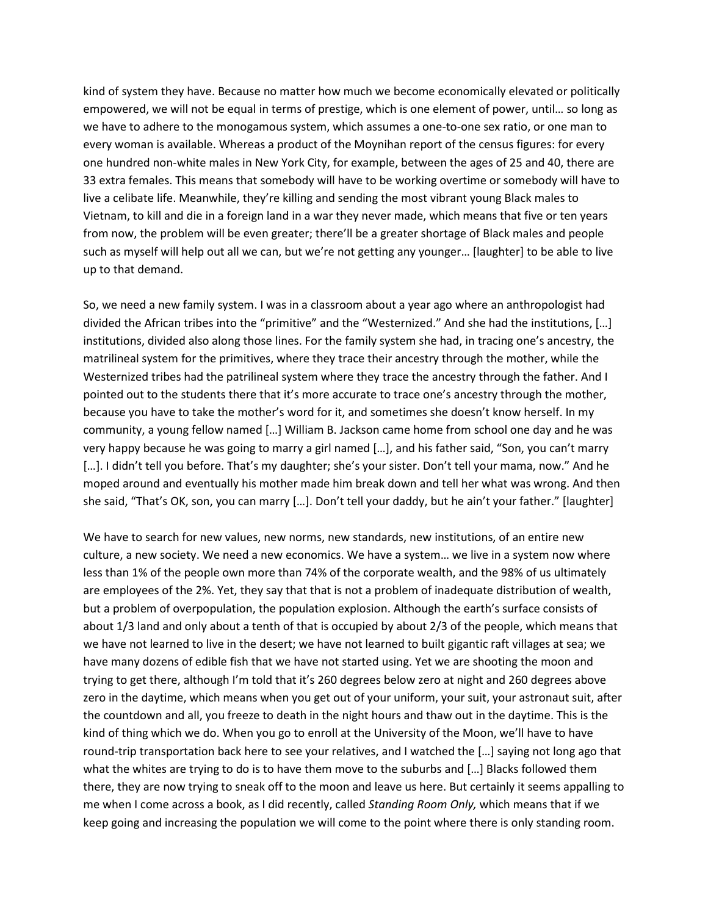kind of system they have. Because no matter how much we become economically elevated or politically empowered, we will not be equal in terms of prestige, which is one element of power, until… so long as we have to adhere to the monogamous system, which assumes a one-to-one sex ratio, or one man to every woman is available. Whereas a product of the Moynihan report of the census figures: for every one hundred non-white males in New York City, for example, between the ages of 25 and 40, there are 33 extra females. This means that somebody will have to be working overtime or somebody will have to live a celibate life. Meanwhile, they're killing and sending the most vibrant young Black males to Vietnam, to kill and die in a foreign land in a war they never made, which means that five or ten years from now, the problem will be even greater; there'll be a greater shortage of Black males and people such as myself will help out all we can, but we're not getting any younger… [laughter] to be able to live up to that demand.

So, we need a new family system. I was in a classroom about a year ago where an anthropologist had divided the African tribes into the "primitive" and the "Westernized." And she had the institutions, […] institutions, divided also along those lines. For the family system she had, in tracing one's ancestry, the matrilineal system for the primitives, where they trace their ancestry through the mother, while the Westernized tribes had the patrilineal system where they trace the ancestry through the father. And I pointed out to the students there that it's more accurate to trace one's ancestry through the mother, because you have to take the mother's word for it, and sometimes she doesn't know herself. In my community, a young fellow named […] William B. Jackson came home from school one day and he was very happy because he was going to marry a girl named […], and his father said, "Son, you can't marry [...]. I didn't tell you before. That's my daughter; she's your sister. Don't tell your mama, now." And he moped around and eventually his mother made him break down and tell her what was wrong. And then she said, "That's OK, son, you can marry […]. Don't tell your daddy, but he ain't your father." [laughter]

We have to search for new values, new norms, new standards, new institutions, of an entire new culture, a new society. We need a new economics. We have a system… we live in a system now where less than 1% of the people own more than 74% of the corporate wealth, and the 98% of us ultimately are employees of the 2%. Yet, they say that that is not a problem of inadequate distribution of wealth, but a problem of overpopulation, the population explosion. Although the earth's surface consists of about 1/3 land and only about a tenth of that is occupied by about 2/3 of the people, which means that we have not learned to live in the desert; we have not learned to built gigantic raft villages at sea; we have many dozens of edible fish that we have not started using. Yet we are shooting the moon and trying to get there, although I'm told that it's 260 degrees below zero at night and 260 degrees above zero in the daytime, which means when you get out of your uniform, your suit, your astronaut suit, after the countdown and all, you freeze to death in the night hours and thaw out in the daytime. This is the kind of thing which we do. When you go to enroll at the University of the Moon, we'll have to have round-trip transportation back here to see your relatives, and I watched the […] saying not long ago that what the whites are trying to do is to have them move to the suburbs and […] Blacks followed them there, they are now trying to sneak off to the moon and leave us here. But certainly it seems appalling to me when I come across a book, as I did recently, called *Standing Room Only,* which means that if we keep going and increasing the population we will come to the point where there is only standing room.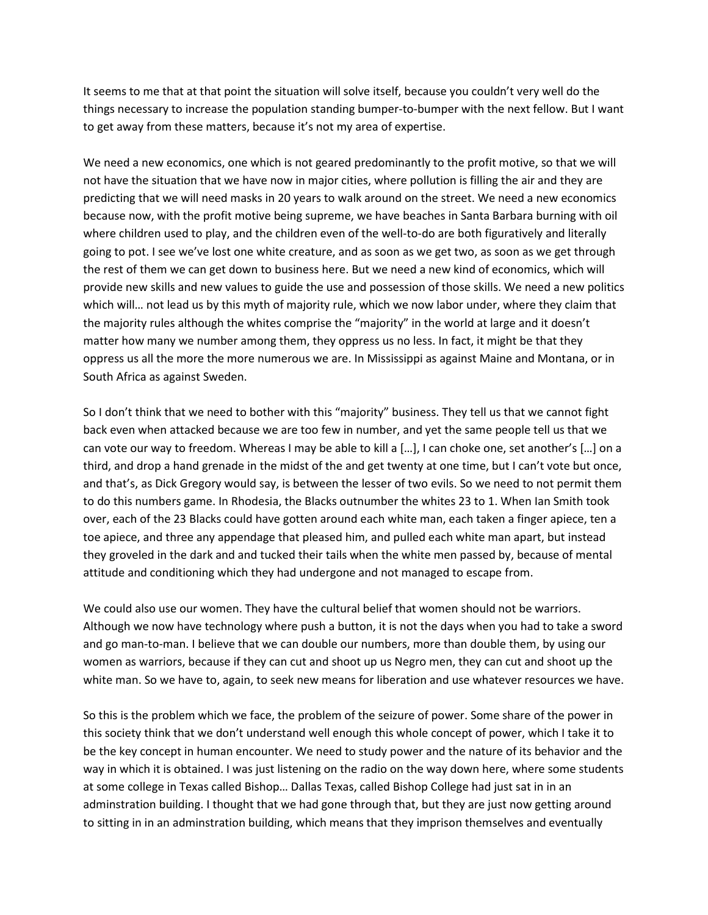It seems to me that at that point the situation will solve itself, because you couldn't very well do the things necessary to increase the population standing bumper-to-bumper with the next fellow. But I want to get away from these matters, because it's not my area of expertise.

We need a new economics, one which is not geared predominantly to the profit motive, so that we will not have the situation that we have now in major cities, where pollution is filling the air and they are predicting that we will need masks in 20 years to walk around on the street. We need a new economics because now, with the profit motive being supreme, we have beaches in Santa Barbara burning with oil where children used to play, and the children even of the well-to-do are both figuratively and literally going to pot. I see we've lost one white creature, and as soon as we get two, as soon as we get through the rest of them we can get down to business here. But we need a new kind of economics, which will provide new skills and new values to guide the use and possession of those skills. We need a new politics which will… not lead us by this myth of majority rule, which we now labor under, where they claim that the majority rules although the whites comprise the "majority" in the world at large and it doesn't matter how many we number among them, they oppress us no less. In fact, it might be that they oppress us all the more the more numerous we are. In Mississippi as against Maine and Montana, or in South Africa as against Sweden.

So I don't think that we need to bother with this "majority" business. They tell us that we cannot fight back even when attacked because we are too few in number, and yet the same people tell us that we can vote our way to freedom. Whereas I may be able to kill a […], I can choke one, set another's […] on a third, and drop a hand grenade in the midst of the and get twenty at one time, but I can't vote but once, and that's, as Dick Gregory would say, is between the lesser of two evils. So we need to not permit them to do this numbers game. In Rhodesia, the Blacks outnumber the whites 23 to 1. When Ian Smith took over, each of the 23 Blacks could have gotten around each white man, each taken a finger apiece, ten a toe apiece, and three any appendage that pleased him, and pulled each white man apart, but instead they groveled in the dark and and tucked their tails when the white men passed by, because of mental attitude and conditioning which they had undergone and not managed to escape from.

We could also use our women. They have the cultural belief that women should not be warriors. Although we now have technology where push a button, it is not the days when you had to take a sword and go man-to-man. I believe that we can double our numbers, more than double them, by using our women as warriors, because if they can cut and shoot up us Negro men, they can cut and shoot up the white man. So we have to, again, to seek new means for liberation and use whatever resources we have.

So this is the problem which we face, the problem of the seizure of power. Some share of the power in this society think that we don't understand well enough this whole concept of power, which I take it to be the key concept in human encounter. We need to study power and the nature of its behavior and the way in which it is obtained. I was just listening on the radio on the way down here, where some students at some college in Texas called Bishop… Dallas Texas, called Bishop College had just sat in in an adminstration building. I thought that we had gone through that, but they are just now getting around to sitting in in an adminstration building, which means that they imprison themselves and eventually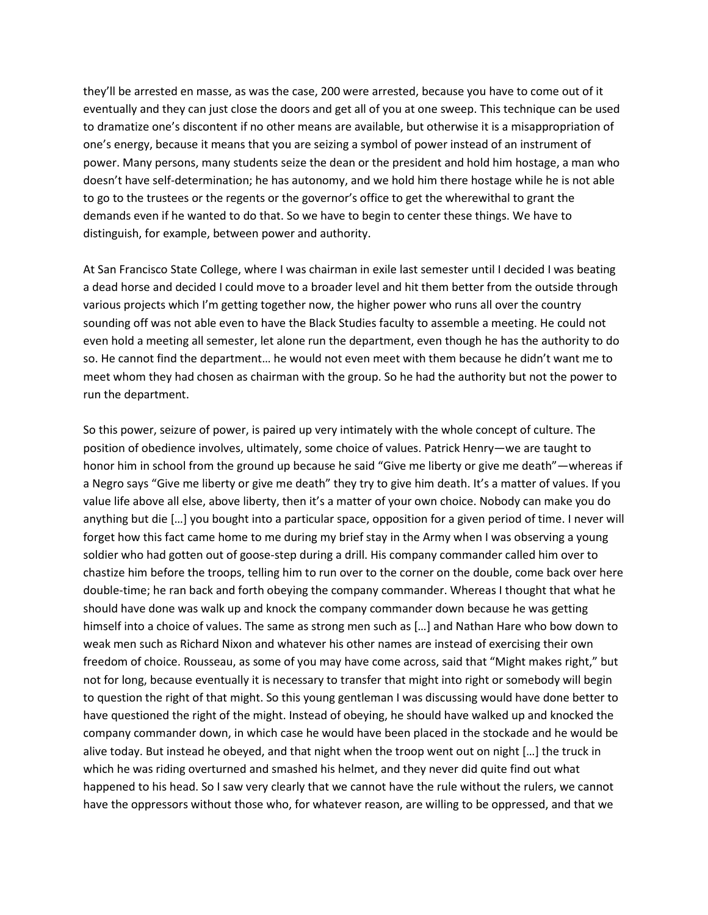they'll be arrested en masse, as was the case, 200 were arrested, because you have to come out of it eventually and they can just close the doors and get all of you at one sweep. This technique can be used to dramatize one's discontent if no other means are available, but otherwise it is a misappropriation of one's energy, because it means that you are seizing a symbol of power instead of an instrument of power. Many persons, many students seize the dean or the president and hold him hostage, a man who doesn't have self-determination; he has autonomy, and we hold him there hostage while he is not able to go to the trustees or the regents or the governor's office to get the wherewithal to grant the demands even if he wanted to do that. So we have to begin to center these things. We have to distinguish, for example, between power and authority.

At San Francisco State College, where I was chairman in exile last semester until I decided I was beating a dead horse and decided I could move to a broader level and hit them better from the outside through various projects which I'm getting together now, the higher power who runs all over the country sounding off was not able even to have the Black Studies faculty to assemble a meeting. He could not even hold a meeting all semester, let alone run the department, even though he has the authority to do so. He cannot find the department… he would not even meet with them because he didn't want me to meet whom they had chosen as chairman with the group. So he had the authority but not the power to run the department.

So this power, seizure of power, is paired up very intimately with the whole concept of culture. The position of obedience involves, ultimately, some choice of values. Patrick Henry—we are taught to honor him in school from the ground up because he said "Give me liberty or give me death"—whereas if a Negro says "Give me liberty or give me death" they try to give him death. It's a matter of values. If you value life above all else, above liberty, then it's a matter of your own choice. Nobody can make you do anything but die […] you bought into a particular space, opposition for a given period of time. I never will forget how this fact came home to me during my brief stay in the Army when I was observing a young soldier who had gotten out of goose-step during a drill. His company commander called him over to chastize him before the troops, telling him to run over to the corner on the double, come back over here double-time; he ran back and forth obeying the company commander. Whereas I thought that what he should have done was walk up and knock the company commander down because he was getting himself into a choice of values. The same as strong men such as […] and Nathan Hare who bow down to weak men such as Richard Nixon and whatever his other names are instead of exercising their own freedom of choice. Rousseau, as some of you may have come across, said that "Might makes right," but not for long, because eventually it is necessary to transfer that might into right or somebody will begin to question the right of that might. So this young gentleman I was discussing would have done better to have questioned the right of the might. Instead of obeying, he should have walked up and knocked the company commander down, in which case he would have been placed in the stockade and he would be alive today. But instead he obeyed, and that night when the troop went out on night […] the truck in which he was riding overturned and smashed his helmet, and they never did quite find out what happened to his head. So I saw very clearly that we cannot have the rule without the rulers, we cannot have the oppressors without those who, for whatever reason, are willing to be oppressed, and that we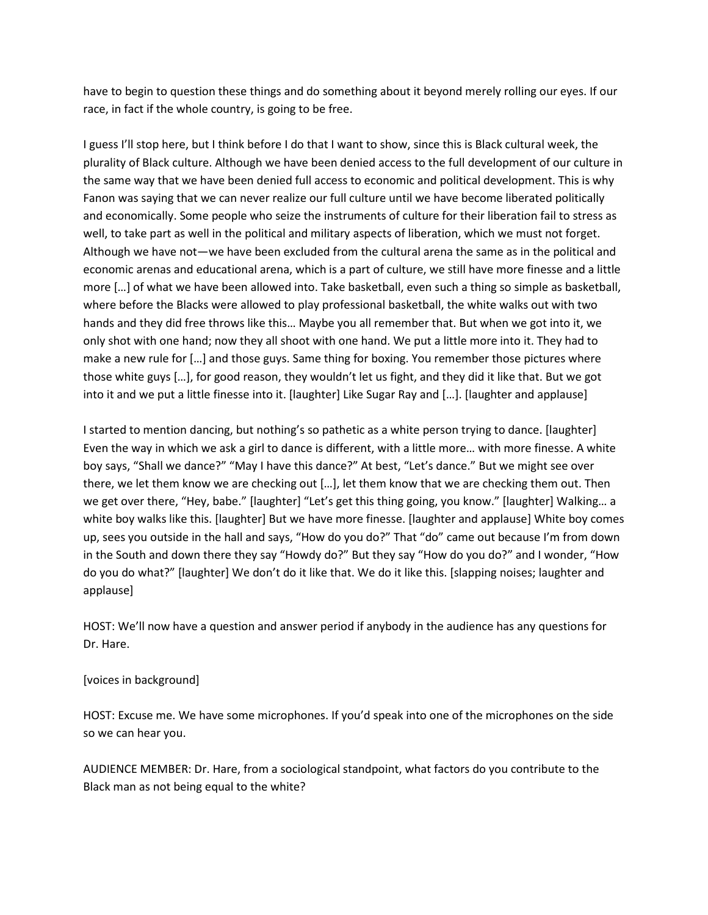have to begin to question these things and do something about it beyond merely rolling our eyes. If our race, in fact if the whole country, is going to be free.

I guess I'll stop here, but I think before I do that I want to show, since this is Black cultural week, the plurality of Black culture. Although we have been denied access to the full development of our culture in the same way that we have been denied full access to economic and political development. This is why Fanon was saying that we can never realize our full culture until we have become liberated politically and economically. Some people who seize the instruments of culture for their liberation fail to stress as well, to take part as well in the political and military aspects of liberation, which we must not forget. Although we have not—we have been excluded from the cultural arena the same as in the political and economic arenas and educational arena, which is a part of culture, we still have more finesse and a little more […] of what we have been allowed into. Take basketball, even such a thing so simple as basketball, where before the Blacks were allowed to play professional basketball, the white walks out with two hands and they did free throws like this… Maybe you all remember that. But when we got into it, we only shot with one hand; now they all shoot with one hand. We put a little more into it. They had to make a new rule for […] and those guys. Same thing for boxing. You remember those pictures where those white guys […], for good reason, they wouldn't let us fight, and they did it like that. But we got into it and we put a little finesse into it. [laughter] Like Sugar Ray and […]. [laughter and applause]

I started to mention dancing, but nothing's so pathetic as a white person trying to dance. [laughter] Even the way in which we ask a girl to dance is different, with a little more… with more finesse. A white boy says, "Shall we dance?" "May I have this dance?" At best, "Let's dance." But we might see over there, we let them know we are checking out […], let them know that we are checking them out. Then we get over there, "Hey, babe." [laughter] "Let's get this thing going, you know." [laughter] Walking… a white boy walks like this. [laughter] But we have more finesse. [laughter and applause] White boy comes up, sees you outside in the hall and says, "How do you do?" That "do" came out because I'm from down in the South and down there they say "Howdy do?" But they say "How do you do?" and I wonder, "How do you do what?" [laughter] We don't do it like that. We do it like this. [slapping noises; laughter and applause]

HOST: We'll now have a question and answer period if anybody in the audience has any questions for Dr. Hare.

#### [voices in background]

HOST: Excuse me. We have some microphones. If you'd speak into one of the microphones on the side so we can hear you.

AUDIENCE MEMBER: Dr. Hare, from a sociological standpoint, what factors do you contribute to the Black man as not being equal to the white?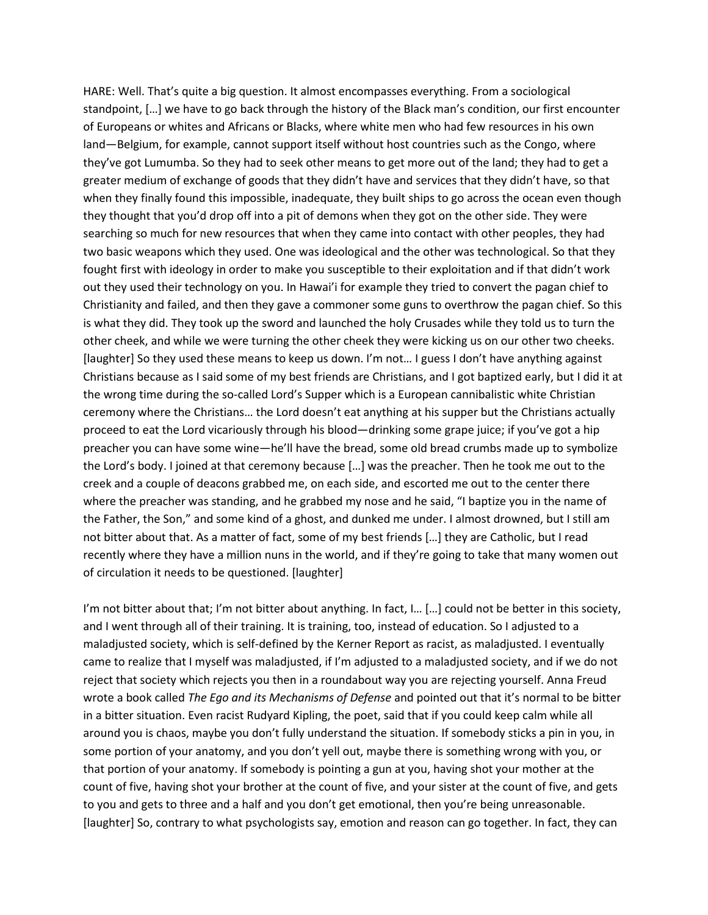HARE: Well. That's quite a big question. It almost encompasses everything. From a sociological standpoint, […] we have to go back through the history of the Black man's condition, our first encounter of Europeans or whites and Africans or Blacks, where white men who had few resources in his own land—Belgium, for example, cannot support itself without host countries such as the Congo, where they've got Lumumba. So they had to seek other means to get more out of the land; they had to get a greater medium of exchange of goods that they didn't have and services that they didn't have, so that when they finally found this impossible, inadequate, they built ships to go across the ocean even though they thought that you'd drop off into a pit of demons when they got on the other side. They were searching so much for new resources that when they came into contact with other peoples, they had two basic weapons which they used. One was ideological and the other was technological. So that they fought first with ideology in order to make you susceptible to their exploitation and if that didn't work out they used their technology on you. In Hawai'i for example they tried to convert the pagan chief to Christianity and failed, and then they gave a commoner some guns to overthrow the pagan chief. So this is what they did. They took up the sword and launched the holy Crusades while they told us to turn the other cheek, and while we were turning the other cheek they were kicking us on our other two cheeks. [laughter] So they used these means to keep us down. I'm not… I guess I don't have anything against Christians because as I said some of my best friends are Christians, and I got baptized early, but I did it at the wrong time during the so-called Lord's Supper which is a European cannibalistic white Christian ceremony where the Christians… the Lord doesn't eat anything at his supper but the Christians actually proceed to eat the Lord vicariously through his blood—drinking some grape juice; if you've got a hip preacher you can have some wine—he'll have the bread, some old bread crumbs made up to symbolize the Lord's body. I joined at that ceremony because […] was the preacher. Then he took me out to the creek and a couple of deacons grabbed me, on each side, and escorted me out to the center there where the preacher was standing, and he grabbed my nose and he said, "I baptize you in the name of the Father, the Son," and some kind of a ghost, and dunked me under. I almost drowned, but I still am not bitter about that. As a matter of fact, some of my best friends […] they are Catholic, but I read recently where they have a million nuns in the world, and if they're going to take that many women out of circulation it needs to be questioned. [laughter]

I'm not bitter about that; I'm not bitter about anything. In fact, I... [...] could not be better in this society, and I went through all of their training. It is training, too, instead of education. So I adjusted to a maladjusted society, which is self-defined by the Kerner Report as racist, as maladjusted. I eventually came to realize that I myself was maladjusted, if I'm adjusted to a maladjusted society, and if we do not reject that society which rejects you then in a roundabout way you are rejecting yourself. Anna Freud wrote a book called *The Ego and its Mechanisms of Defense* and pointed out that it's normal to be bitter in a bitter situation. Even racist Rudyard Kipling, the poet, said that if you could keep calm while all around you is chaos, maybe you don't fully understand the situation. If somebody sticks a pin in you, in some portion of your anatomy, and you don't yell out, maybe there is something wrong with you, or that portion of your anatomy. If somebody is pointing a gun at you, having shot your mother at the count of five, having shot your brother at the count of five, and your sister at the count of five, and gets to you and gets to three and a half and you don't get emotional, then you're being unreasonable. [laughter] So, contrary to what psychologists say, emotion and reason can go together. In fact, they can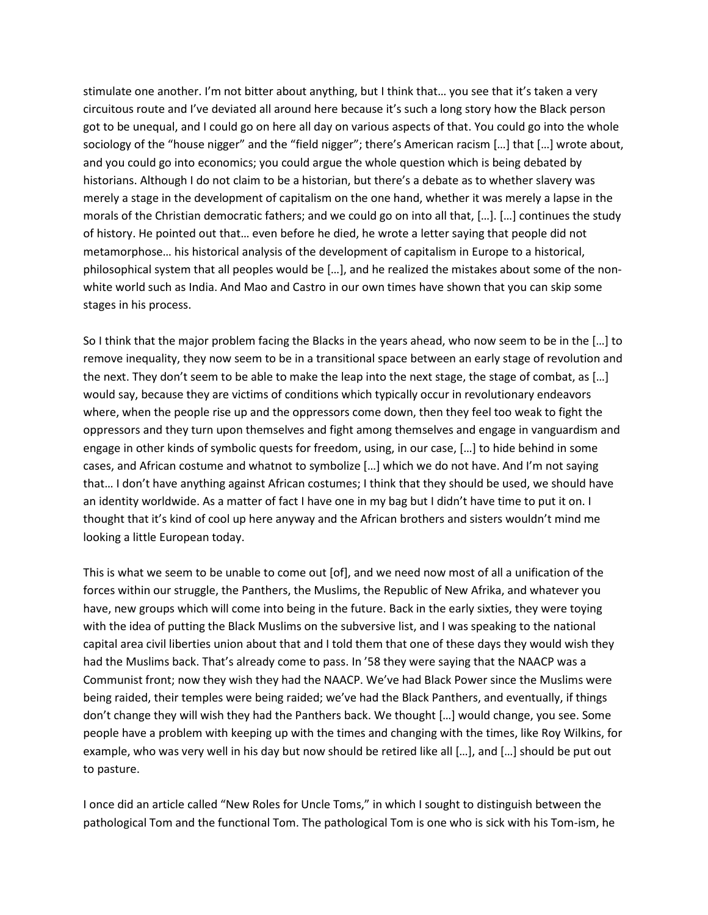stimulate one another. I'm not bitter about anything, but I think that… you see that it's taken a very circuitous route and I've deviated all around here because it's such a long story how the Black person got to be unequal, and I could go on here all day on various aspects of that. You could go into the whole sociology of the "house nigger" and the "field nigger"; there's American racism […] that […] wrote about, and you could go into economics; you could argue the whole question which is being debated by historians. Although I do not claim to be a historian, but there's a debate as to whether slavery was merely a stage in the development of capitalism on the one hand, whether it was merely a lapse in the morals of the Christian democratic fathers; and we could go on into all that, […]. […] continues the study of history. He pointed out that… even before he died, he wrote a letter saying that people did not metamorphose… his historical analysis of the development of capitalism in Europe to a historical, philosophical system that all peoples would be […], and he realized the mistakes about some of the nonwhite world such as India. And Mao and Castro in our own times have shown that you can skip some stages in his process.

So I think that the major problem facing the Blacks in the years ahead, who now seem to be in the […] to remove inequality, they now seem to be in a transitional space between an early stage of revolution and the next. They don't seem to be able to make the leap into the next stage, the stage of combat, as […] would say, because they are victims of conditions which typically occur in revolutionary endeavors where, when the people rise up and the oppressors come down, then they feel too weak to fight the oppressors and they turn upon themselves and fight among themselves and engage in vanguardism and engage in other kinds of symbolic quests for freedom, using, in our case, […] to hide behind in some cases, and African costume and whatnot to symbolize […] which we do not have. And I'm not saying that… I don't have anything against African costumes; I think that they should be used, we should have an identity worldwide. As a matter of fact I have one in my bag but I didn't have time to put it on. I thought that it's kind of cool up here anyway and the African brothers and sisters wouldn't mind me looking a little European today.

This is what we seem to be unable to come out [of], and we need now most of all a unification of the forces within our struggle, the Panthers, the Muslims, the Republic of New Afrika, and whatever you have, new groups which will come into being in the future. Back in the early sixties, they were toying with the idea of putting the Black Muslims on the subversive list, and I was speaking to the national capital area civil liberties union about that and I told them that one of these days they would wish they had the Muslims back. That's already come to pass. In '58 they were saying that the NAACP was a Communist front; now they wish they had the NAACP. We've had Black Power since the Muslims were being raided, their temples were being raided; we've had the Black Panthers, and eventually, if things don't change they will wish they had the Panthers back. We thought […] would change, you see. Some people have a problem with keeping up with the times and changing with the times, like Roy Wilkins, for example, who was very well in his day but now should be retired like all […], and […] should be put out to pasture.

I once did an article called "New Roles for Uncle Toms," in which I sought to distinguish between the pathological Tom and the functional Tom. The pathological Tom is one who is sick with his Tom-ism, he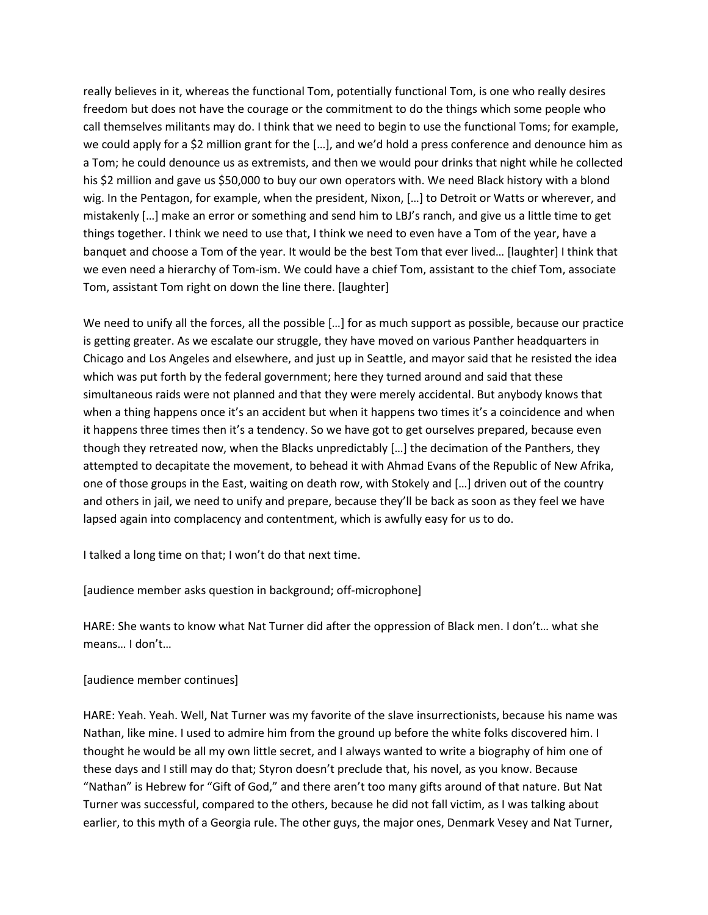really believes in it, whereas the functional Tom, potentially functional Tom, is one who really desires freedom but does not have the courage or the commitment to do the things which some people who call themselves militants may do. I think that we need to begin to use the functional Toms; for example, we could apply for a \$2 million grant for the […], and we'd hold a press conference and denounce him as a Tom; he could denounce us as extremists, and then we would pour drinks that night while he collected his \$2 million and gave us \$50,000 to buy our own operators with. We need Black history with a blond wig. In the Pentagon, for example, when the president, Nixon, […] to Detroit or Watts or wherever, and mistakenly […] make an error or something and send him to LBJ's ranch, and give us a little time to get things together. I think we need to use that, I think we need to even have a Tom of the year, have a banquet and choose a Tom of the year. It would be the best Tom that ever lived… [laughter] I think that we even need a hierarchy of Tom-ism. We could have a chief Tom, assistant to the chief Tom, associate Tom, assistant Tom right on down the line there. [laughter]

We need to unify all the forces, all the possible [...] for as much support as possible, because our practice is getting greater. As we escalate our struggle, they have moved on various Panther headquarters in Chicago and Los Angeles and elsewhere, and just up in Seattle, and mayor said that he resisted the idea which was put forth by the federal government; here they turned around and said that these simultaneous raids were not planned and that they were merely accidental. But anybody knows that when a thing happens once it's an accident but when it happens two times it's a coincidence and when it happens three times then it's a tendency. So we have got to get ourselves prepared, because even though they retreated now, when the Blacks unpredictably […] the decimation of the Panthers, they attempted to decapitate the movement, to behead it with Ahmad Evans of the Republic of New Afrika, one of those groups in the East, waiting on death row, with Stokely and […] driven out of the country and others in jail, we need to unify and prepare, because they'll be back as soon as they feel we have lapsed again into complacency and contentment, which is awfully easy for us to do.

I talked a long time on that; I won't do that next time.

[audience member asks question in background; off-microphone]

HARE: She wants to know what Nat Turner did after the oppression of Black men. I don't… what she means… I don't…

## [audience member continues]

HARE: Yeah. Yeah. Well, Nat Turner was my favorite of the slave insurrectionists, because his name was Nathan, like mine. I used to admire him from the ground up before the white folks discovered him. I thought he would be all my own little secret, and I always wanted to write a biography of him one of these days and I still may do that; Styron doesn't preclude that, his novel, as you know. Because "Nathan" is Hebrew for "Gift of God," and there aren't too many gifts around of that nature. But Nat Turner was successful, compared to the others, because he did not fall victim, as I was talking about earlier, to this myth of a Georgia rule. The other guys, the major ones, Denmark Vesey and Nat Turner,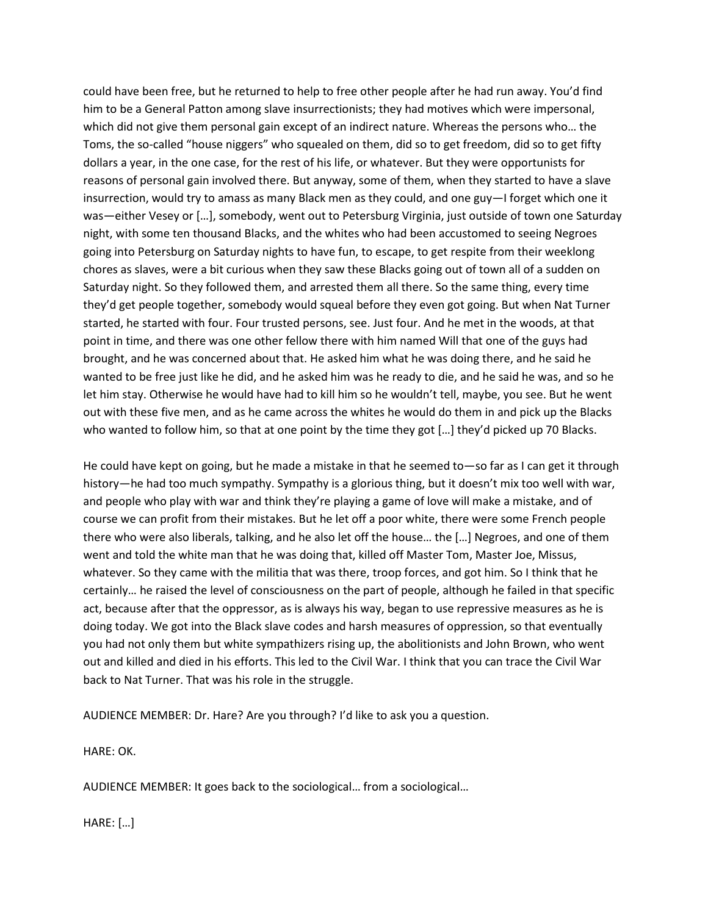could have been free, but he returned to help to free other people after he had run away. You'd find him to be a General Patton among slave insurrectionists; they had motives which were impersonal, which did not give them personal gain except of an indirect nature. Whereas the persons who… the Toms, the so-called "house niggers" who squealed on them, did so to get freedom, did so to get fifty dollars a year, in the one case, for the rest of his life, or whatever. But they were opportunists for reasons of personal gain involved there. But anyway, some of them, when they started to have a slave insurrection, would try to amass as many Black men as they could, and one guy—I forget which one it was—either Vesey or […], somebody, went out to Petersburg Virginia, just outside of town one Saturday night, with some ten thousand Blacks, and the whites who had been accustomed to seeing Negroes going into Petersburg on Saturday nights to have fun, to escape, to get respite from their weeklong chores as slaves, were a bit curious when they saw these Blacks going out of town all of a sudden on Saturday night. So they followed them, and arrested them all there. So the same thing, every time they'd get people together, somebody would squeal before they even got going. But when Nat Turner started, he started with four. Four trusted persons, see. Just four. And he met in the woods, at that point in time, and there was one other fellow there with him named Will that one of the guys had brought, and he was concerned about that. He asked him what he was doing there, and he said he wanted to be free just like he did, and he asked him was he ready to die, and he said he was, and so he let him stay. Otherwise he would have had to kill him so he wouldn't tell, maybe, you see. But he went out with these five men, and as he came across the whites he would do them in and pick up the Blacks who wanted to follow him, so that at one point by the time they got […] they'd picked up 70 Blacks.

He could have kept on going, but he made a mistake in that he seemed to—so far as I can get it through history—he had too much sympathy. Sympathy is a glorious thing, but it doesn't mix too well with war, and people who play with war and think they're playing a game of love will make a mistake, and of course we can profit from their mistakes. But he let off a poor white, there were some French people there who were also liberals, talking, and he also let off the house… the […] Negroes, and one of them went and told the white man that he was doing that, killed off Master Tom, Master Joe, Missus, whatever. So they came with the militia that was there, troop forces, and got him. So I think that he certainly… he raised the level of consciousness on the part of people, although he failed in that specific act, because after that the oppressor, as is always his way, began to use repressive measures as he is doing today. We got into the Black slave codes and harsh measures of oppression, so that eventually you had not only them but white sympathizers rising up, the abolitionists and John Brown, who went out and killed and died in his efforts. This led to the Civil War. I think that you can trace the Civil War back to Nat Turner. That was his role in the struggle.

AUDIENCE MEMBER: Dr. Hare? Are you through? I'd like to ask you a question.

HARE: OK.

AUDIENCE MEMBER: It goes back to the sociological… from a sociological…

HARE: […]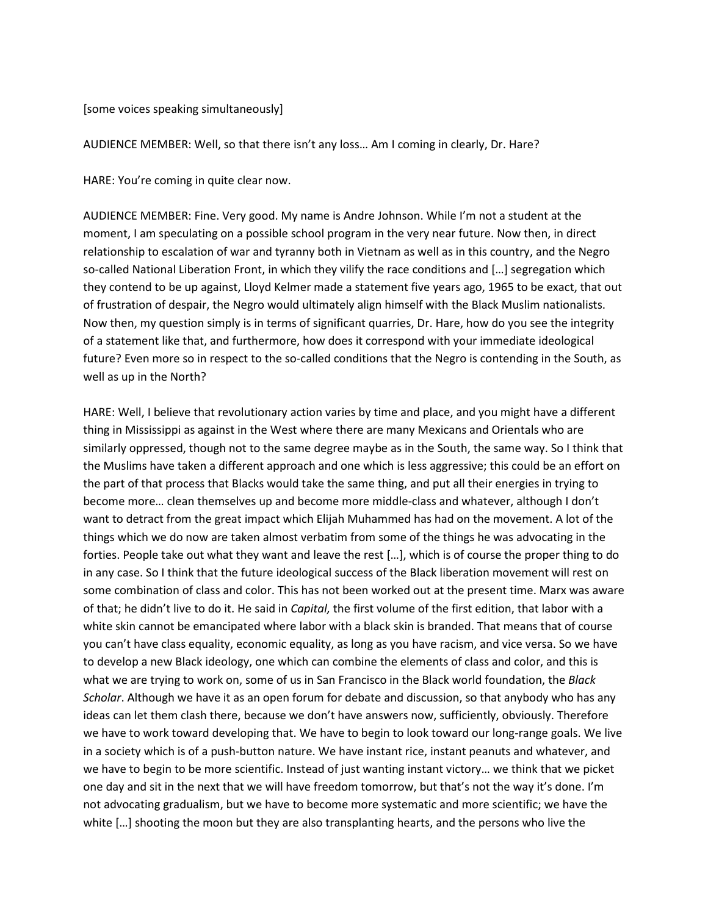#### [some voices speaking simultaneously]

AUDIENCE MEMBER: Well, so that there isn't any loss… Am I coming in clearly, Dr. Hare?

HARE: You're coming in quite clear now.

AUDIENCE MEMBER: Fine. Very good. My name is Andre Johnson. While I'm not a student at the moment, I am speculating on a possible school program in the very near future. Now then, in direct relationship to escalation of war and tyranny both in Vietnam as well as in this country, and the Negro so-called National Liberation Front, in which they vilify the race conditions and […] segregation which they contend to be up against, Lloyd Kelmer made a statement five years ago, 1965 to be exact, that out of frustration of despair, the Negro would ultimately align himself with the Black Muslim nationalists. Now then, my question simply is in terms of significant quarries, Dr. Hare, how do you see the integrity of a statement like that, and furthermore, how does it correspond with your immediate ideological future? Even more so in respect to the so-called conditions that the Negro is contending in the South, as well as up in the North?

HARE: Well, I believe that revolutionary action varies by time and place, and you might have a different thing in Mississippi as against in the West where there are many Mexicans and Orientals who are similarly oppressed, though not to the same degree maybe as in the South, the same way. So I think that the Muslims have taken a different approach and one which is less aggressive; this could be an effort on the part of that process that Blacks would take the same thing, and put all their energies in trying to become more… clean themselves up and become more middle-class and whatever, although I don't want to detract from the great impact which Elijah Muhammed has had on the movement. A lot of the things which we do now are taken almost verbatim from some of the things he was advocating in the forties. People take out what they want and leave the rest […], which is of course the proper thing to do in any case. So I think that the future ideological success of the Black liberation movement will rest on some combination of class and color. This has not been worked out at the present time. Marx was aware of that; he didn't live to do it. He said in *Capital,* the first volume of the first edition, that labor with a white skin cannot be emancipated where labor with a black skin is branded. That means that of course you can't have class equality, economic equality, as long as you have racism, and vice versa. So we have to develop a new Black ideology, one which can combine the elements of class and color, and this is what we are trying to work on, some of us in San Francisco in the Black world foundation, the *Black Scholar*. Although we have it as an open forum for debate and discussion, so that anybody who has any ideas can let them clash there, because we don't have answers now, sufficiently, obviously. Therefore we have to work toward developing that. We have to begin to look toward our long-range goals. We live in a society which is of a push-button nature. We have instant rice, instant peanuts and whatever, and we have to begin to be more scientific. Instead of just wanting instant victory… we think that we picket one day and sit in the next that we will have freedom tomorrow, but that's not the way it's done. I'm not advocating gradualism, but we have to become more systematic and more scientific; we have the white […] shooting the moon but they are also transplanting hearts, and the persons who live the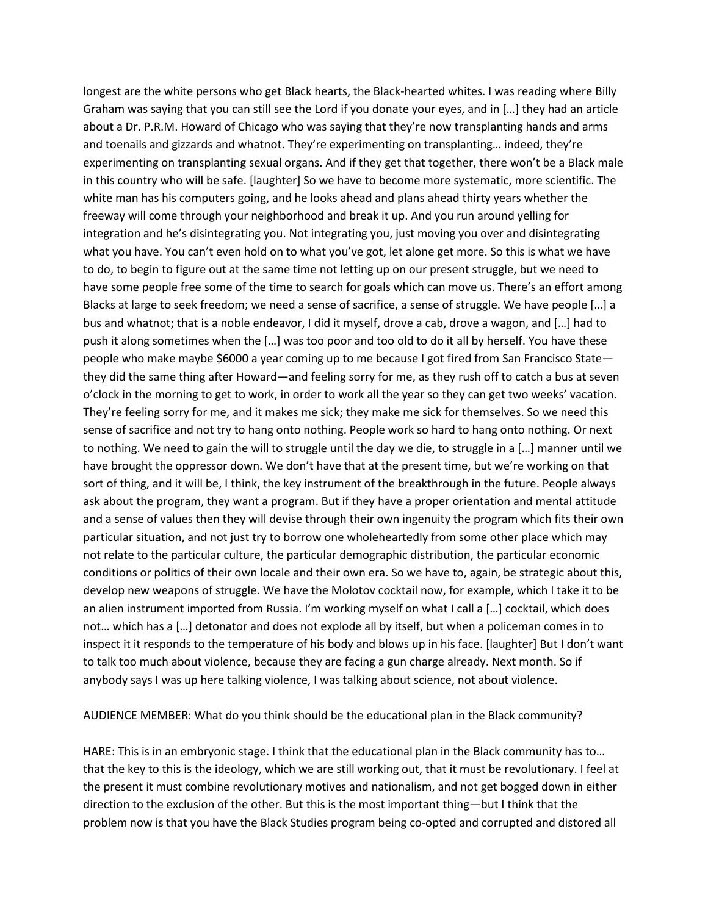longest are the white persons who get Black hearts, the Black-hearted whites. I was reading where Billy Graham was saying that you can still see the Lord if you donate your eyes, and in […] they had an article about a Dr. P.R.M. Howard of Chicago who was saying that they're now transplanting hands and arms and toenails and gizzards and whatnot. They're experimenting on transplanting… indeed, they're experimenting on transplanting sexual organs. And if they get that together, there won't be a Black male in this country who will be safe. [laughter] So we have to become more systematic, more scientific. The white man has his computers going, and he looks ahead and plans ahead thirty years whether the freeway will come through your neighborhood and break it up. And you run around yelling for integration and he's disintegrating you. Not integrating you, just moving you over and disintegrating what you have. You can't even hold on to what you've got, let alone get more. So this is what we have to do, to begin to figure out at the same time not letting up on our present struggle, but we need to have some people free some of the time to search for goals which can move us. There's an effort among Blacks at large to seek freedom; we need a sense of sacrifice, a sense of struggle. We have people […] a bus and whatnot; that is a noble endeavor, I did it myself, drove a cab, drove a wagon, and […] had to push it along sometimes when the […] was too poor and too old to do it all by herself. You have these people who make maybe \$6000 a year coming up to me because I got fired from San Francisco State they did the same thing after Howard—and feeling sorry for me, as they rush off to catch a bus at seven o'clock in the morning to get to work, in order to work all the year so they can get two weeks' vacation. They're feeling sorry for me, and it makes me sick; they make me sick for themselves. So we need this sense of sacrifice and not try to hang onto nothing. People work so hard to hang onto nothing. Or next to nothing. We need to gain the will to struggle until the day we die, to struggle in a […] manner until we have brought the oppressor down. We don't have that at the present time, but we're working on that sort of thing, and it will be, I think, the key instrument of the breakthrough in the future. People always ask about the program, they want a program. But if they have a proper orientation and mental attitude and a sense of values then they will devise through their own ingenuity the program which fits their own particular situation, and not just try to borrow one wholeheartedly from some other place which may not relate to the particular culture, the particular demographic distribution, the particular economic conditions or politics of their own locale and their own era. So we have to, again, be strategic about this, develop new weapons of struggle. We have the Molotov cocktail now, for example, which I take it to be an alien instrument imported from Russia. I'm working myself on what I call a […] cocktail, which does not… which has a […] detonator and does not explode all by itself, but when a policeman comes in to inspect it it responds to the temperature of his body and blows up in his face. [laughter] But I don't want to talk too much about violence, because they are facing a gun charge already. Next month. So if anybody says I was up here talking violence, I was talking about science, not about violence.

#### AUDIENCE MEMBER: What do you think should be the educational plan in the Black community?

HARE: This is in an embryonic stage. I think that the educational plan in the Black community has to… that the key to this is the ideology, which we are still working out, that it must be revolutionary. I feel at the present it must combine revolutionary motives and nationalism, and not get bogged down in either direction to the exclusion of the other. But this is the most important thing—but I think that the problem now is that you have the Black Studies program being co-opted and corrupted and distored all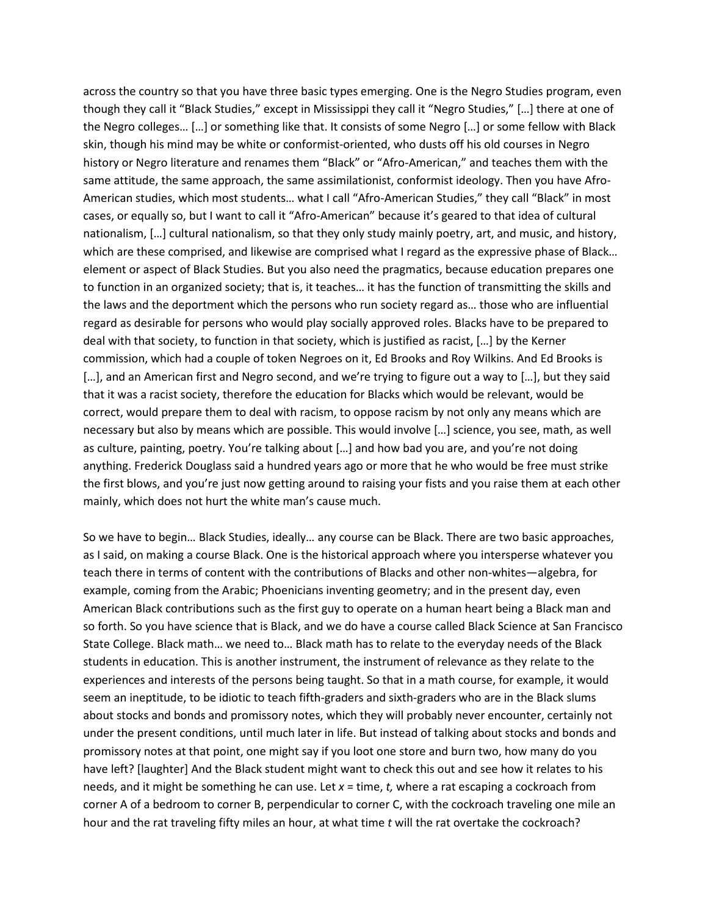across the country so that you have three basic types emerging. One is the Negro Studies program, even though they call it "Black Studies," except in Mississippi they call it "Negro Studies," […] there at one of the Negro colleges… […] or something like that. It consists of some Negro […] or some fellow with Black skin, though his mind may be white or conformist-oriented, who dusts off his old courses in Negro history or Negro literature and renames them "Black" or "Afro-American," and teaches them with the same attitude, the same approach, the same assimilationist, conformist ideology. Then you have Afro-American studies, which most students… what I call "Afro-American Studies," they call "Black" in most cases, or equally so, but I want to call it "Afro-American" because it's geared to that idea of cultural nationalism, […] cultural nationalism, so that they only study mainly poetry, art, and music, and history, which are these comprised, and likewise are comprised what I regard as the expressive phase of Black... element or aspect of Black Studies. But you also need the pragmatics, because education prepares one to function in an organized society; that is, it teaches… it has the function of transmitting the skills and the laws and the deportment which the persons who run society regard as… those who are influential regard as desirable for persons who would play socially approved roles. Blacks have to be prepared to deal with that society, to function in that society, which is justified as racist, […] by the Kerner commission, which had a couple of token Negroes on it, Ed Brooks and Roy Wilkins. And Ed Brooks is [...], and an American first and Negro second, and we're trying to figure out a way to [...], but they said that it was a racist society, therefore the education for Blacks which would be relevant, would be correct, would prepare them to deal with racism, to oppose racism by not only any means which are necessary but also by means which are possible. This would involve […] science, you see, math, as well as culture, painting, poetry. You're talking about […] and how bad you are, and you're not doing anything. Frederick Douglass said a hundred years ago or more that he who would be free must strike the first blows, and you're just now getting around to raising your fists and you raise them at each other mainly, which does not hurt the white man's cause much.

So we have to begin… Black Studies, ideally… any course can be Black. There are two basic approaches, as I said, on making a course Black. One is the historical approach where you intersperse whatever you teach there in terms of content with the contributions of Blacks and other non-whites—algebra, for example, coming from the Arabic; Phoenicians inventing geometry; and in the present day, even American Black contributions such as the first guy to operate on a human heart being a Black man and so forth. So you have science that is Black, and we do have a course called Black Science at San Francisco State College. Black math… we need to… Black math has to relate to the everyday needs of the Black students in education. This is another instrument, the instrument of relevance as they relate to the experiences and interests of the persons being taught. So that in a math course, for example, it would seem an ineptitude, to be idiotic to teach fifth-graders and sixth-graders who are in the Black slums about stocks and bonds and promissory notes, which they will probably never encounter, certainly not under the present conditions, until much later in life. But instead of talking about stocks and bonds and promissory notes at that point, one might say if you loot one store and burn two, how many do you have left? [laughter] And the Black student might want to check this out and see how it relates to his needs, and it might be something he can use. Let *x* = time, *t,* where a rat escaping a cockroach from corner A of a bedroom to corner B, perpendicular to corner C, with the cockroach traveling one mile an hour and the rat traveling fifty miles an hour, at what time *t* will the rat overtake the cockroach?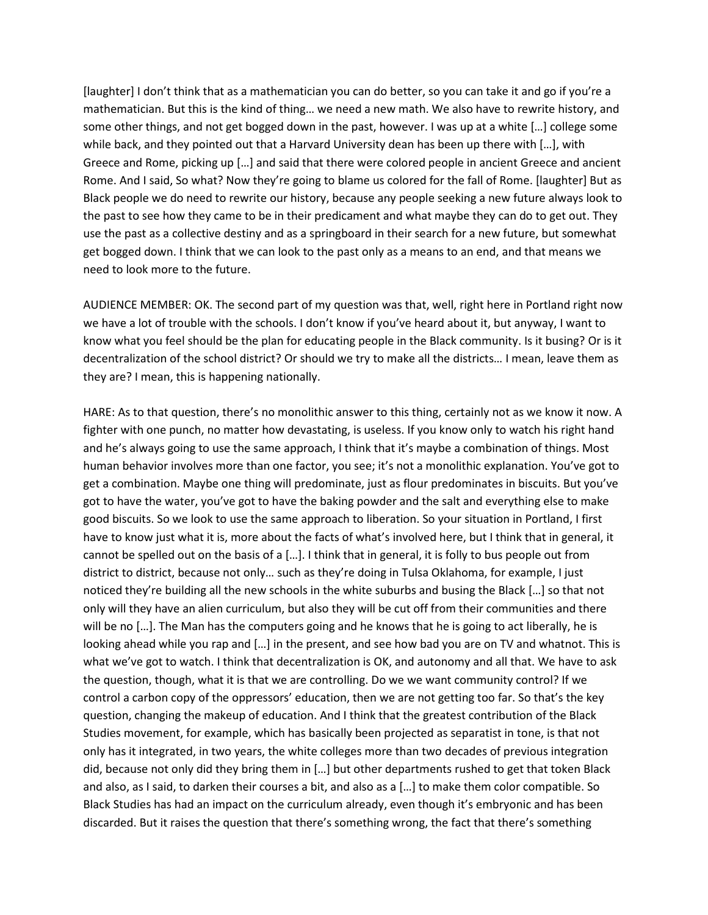[laughter] I don't think that as a mathematician you can do better, so you can take it and go if you're a mathematician. But this is the kind of thing… we need a new math. We also have to rewrite history, and some other things, and not get bogged down in the past, however. I was up at a white […] college some while back, and they pointed out that a Harvard University dean has been up there with […], with Greece and Rome, picking up […] and said that there were colored people in ancient Greece and ancient Rome. And I said, So what? Now they're going to blame us colored for the fall of Rome. [laughter] But as Black people we do need to rewrite our history, because any people seeking a new future always look to the past to see how they came to be in their predicament and what maybe they can do to get out. They use the past as a collective destiny and as a springboard in their search for a new future, but somewhat get bogged down. I think that we can look to the past only as a means to an end, and that means we need to look more to the future.

AUDIENCE MEMBER: OK. The second part of my question was that, well, right here in Portland right now we have a lot of trouble with the schools. I don't know if you've heard about it, but anyway, I want to know what you feel should be the plan for educating people in the Black community. Is it busing? Or is it decentralization of the school district? Or should we try to make all the districts… I mean, leave them as they are? I mean, this is happening nationally.

HARE: As to that question, there's no monolithic answer to this thing, certainly not as we know it now. A fighter with one punch, no matter how devastating, is useless. If you know only to watch his right hand and he's always going to use the same approach, I think that it's maybe a combination of things. Most human behavior involves more than one factor, you see; it's not a monolithic explanation. You've got to get a combination. Maybe one thing will predominate, just as flour predominates in biscuits. But you've got to have the water, you've got to have the baking powder and the salt and everything else to make good biscuits. So we look to use the same approach to liberation. So your situation in Portland, I first have to know just what it is, more about the facts of what's involved here, but I think that in general, it cannot be spelled out on the basis of a […]. I think that in general, it is folly to bus people out from district to district, because not only… such as they're doing in Tulsa Oklahoma, for example, I just noticed they're building all the new schools in the white suburbs and busing the Black […] so that not only will they have an alien curriculum, but also they will be cut off from their communities and there will be no [...]. The Man has the computers going and he knows that he is going to act liberally, he is looking ahead while you rap and […] in the present, and see how bad you are on TV and whatnot. This is what we've got to watch. I think that decentralization is OK, and autonomy and all that. We have to ask the question, though, what it is that we are controlling. Do we we want community control? If we control a carbon copy of the oppressors' education, then we are not getting too far. So that's the key question, changing the makeup of education. And I think that the greatest contribution of the Black Studies movement, for example, which has basically been projected as separatist in tone, is that not only has it integrated, in two years, the white colleges more than two decades of previous integration did, because not only did they bring them in […] but other departments rushed to get that token Black and also, as I said, to darken their courses a bit, and also as a […] to make them color compatible. So Black Studies has had an impact on the curriculum already, even though it's embryonic and has been discarded. But it raises the question that there's something wrong, the fact that there's something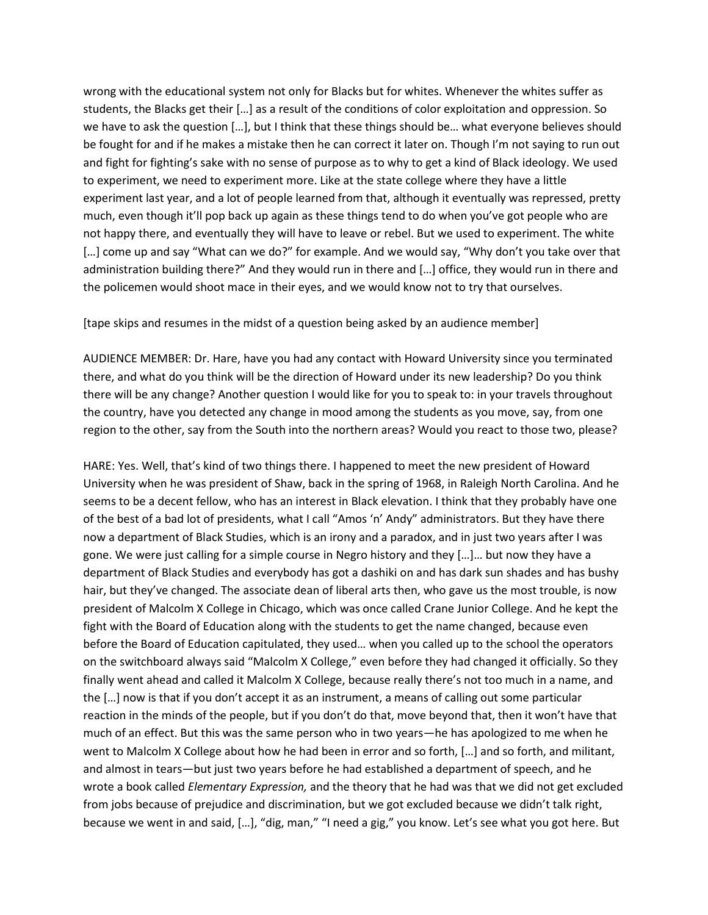wrong with the educational system not only for Blacks but for whites. Whenever the whites suffer as students, the Blacks get their […] as a result of the conditions of color exploitation and oppression. So we have to ask the question […], but I think that these things should be… what everyone believes should be fought for and if he makes a mistake then he can correct it later on. Though I'm not saying to run out and fight for fighting's sake with no sense of purpose as to why to get a kind of Black ideology. We used to experiment, we need to experiment more. Like at the state college where they have a little experiment last year, and a lot of people learned from that, although it eventually was repressed, pretty much, even though it'll pop back up again as these things tend to do when you've got people who are not happy there, and eventually they will have to leave or rebel. But we used to experiment. The white […] come up and say "What can we do?" for example. And we would say, "Why don't you take over that administration building there?" And they would run in there and […] office, they would run in there and the policemen would shoot mace in their eyes, and we would know not to try that ourselves.

[tape skips and resumes in the midst of a question being asked by an audience member]

AUDIENCE MEMBER: Dr. Hare, have you had any contact with Howard University since you terminated there, and what do you think will be the direction of Howard under its new leadership? Do you think there will be any change? Another question I would like for you to speak to: in your travels throughout the country, have you detected any change in mood among the students as you move, say, from one region to the other, say from the South into the northern areas? Would you react to those two, please?

HARE: Yes. Well, that's kind of two things there. I happened to meet the new president of Howard University when he was president of Shaw, back in the spring of 1968, in Raleigh North Carolina. And he seems to be a decent fellow, who has an interest in Black elevation. I think that they probably have one of the best of a bad lot of presidents, what I call "Amos 'n' Andy" administrators. But they have there now a department of Black Studies, which is an irony and a paradox, and in just two years after I was gone. We were just calling for a simple course in Negro history and they […]… but now they have a department of Black Studies and everybody has got a dashiki on and has dark sun shades and has bushy hair, but they've changed. The associate dean of liberal arts then, who gave us the most trouble, is now president of Malcolm X College in Chicago, which was once called Crane Junior College. And he kept the fight with the Board of Education along with the students to get the name changed, because even before the Board of Education capitulated, they used… when you called up to the school the operators on the switchboard always said "Malcolm X College," even before they had changed it officially. So they finally went ahead and called it Malcolm X College, because really there's not too much in a name, and the […] now is that if you don't accept it as an instrument, a means of calling out some particular reaction in the minds of the people, but if you don't do that, move beyond that, then it won't have that much of an effect. But this was the same person who in two years—he has apologized to me when he went to Malcolm X College about how he had been in error and so forth, […] and so forth, and militant, and almost in tears—but just two years before he had established a department of speech, and he wrote a book called *Elementary Expression,* and the theory that he had was that we did not get excluded from jobs because of prejudice and discrimination, but we got excluded because we didn't talk right, because we went in and said, […], "dig, man," "I need a gig," you know. Let's see what you got here. But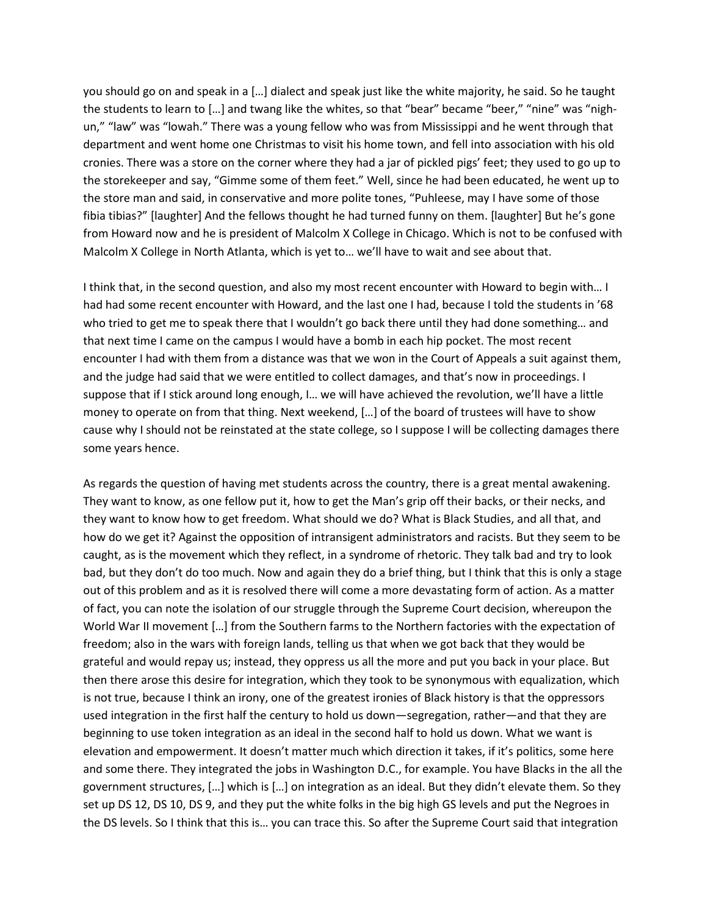you should go on and speak in a […] dialect and speak just like the white majority, he said. So he taught the students to learn to […] and twang like the whites, so that "bear" became "beer," "nine" was "nighun," "law" was "lowah." There was a young fellow who was from Mississippi and he went through that department and went home one Christmas to visit his home town, and fell into association with his old cronies. There was a store on the corner where they had a jar of pickled pigs' feet; they used to go up to the storekeeper and say, "Gimme some of them feet." Well, since he had been educated, he went up to the store man and said, in conservative and more polite tones, "Puhleese, may I have some of those fibia tibias?" [laughter] And the fellows thought he had turned funny on them. [laughter] But he's gone from Howard now and he is president of Malcolm X College in Chicago. Which is not to be confused with Malcolm X College in North Atlanta, which is yet to… we'll have to wait and see about that.

I think that, in the second question, and also my most recent encounter with Howard to begin with… I had had some recent encounter with Howard, and the last one I had, because I told the students in '68 who tried to get me to speak there that I wouldn't go back there until they had done something… and that next time I came on the campus I would have a bomb in each hip pocket. The most recent encounter I had with them from a distance was that we won in the Court of Appeals a suit against them, and the judge had said that we were entitled to collect damages, and that's now in proceedings. I suppose that if I stick around long enough, I… we will have achieved the revolution, we'll have a little money to operate on from that thing. Next weekend, […] of the board of trustees will have to show cause why I should not be reinstated at the state college, so I suppose I will be collecting damages there some years hence.

As regards the question of having met students across the country, there is a great mental awakening. They want to know, as one fellow put it, how to get the Man's grip off their backs, or their necks, and they want to know how to get freedom. What should we do? What is Black Studies, and all that, and how do we get it? Against the opposition of intransigent administrators and racists. But they seem to be caught, as is the movement which they reflect, in a syndrome of rhetoric. They talk bad and try to look bad, but they don't do too much. Now and again they do a brief thing, but I think that this is only a stage out of this problem and as it is resolved there will come a more devastating form of action. As a matter of fact, you can note the isolation of our struggle through the Supreme Court decision, whereupon the World War II movement […] from the Southern farms to the Northern factories with the expectation of freedom; also in the wars with foreign lands, telling us that when we got back that they would be grateful and would repay us; instead, they oppress us all the more and put you back in your place. But then there arose this desire for integration, which they took to be synonymous with equalization, which is not true, because I think an irony, one of the greatest ironies of Black history is that the oppressors used integration in the first half the century to hold us down—segregation, rather—and that they are beginning to use token integration as an ideal in the second half to hold us down. What we want is elevation and empowerment. It doesn't matter much which direction it takes, if it's politics, some here and some there. They integrated the jobs in Washington D.C., for example. You have Blacks in the all the government structures, […] which is […] on integration as an ideal. But they didn't elevate them. So they set up DS 12, DS 10, DS 9, and they put the white folks in the big high GS levels and put the Negroes in the DS levels. So I think that this is… you can trace this. So after the Supreme Court said that integration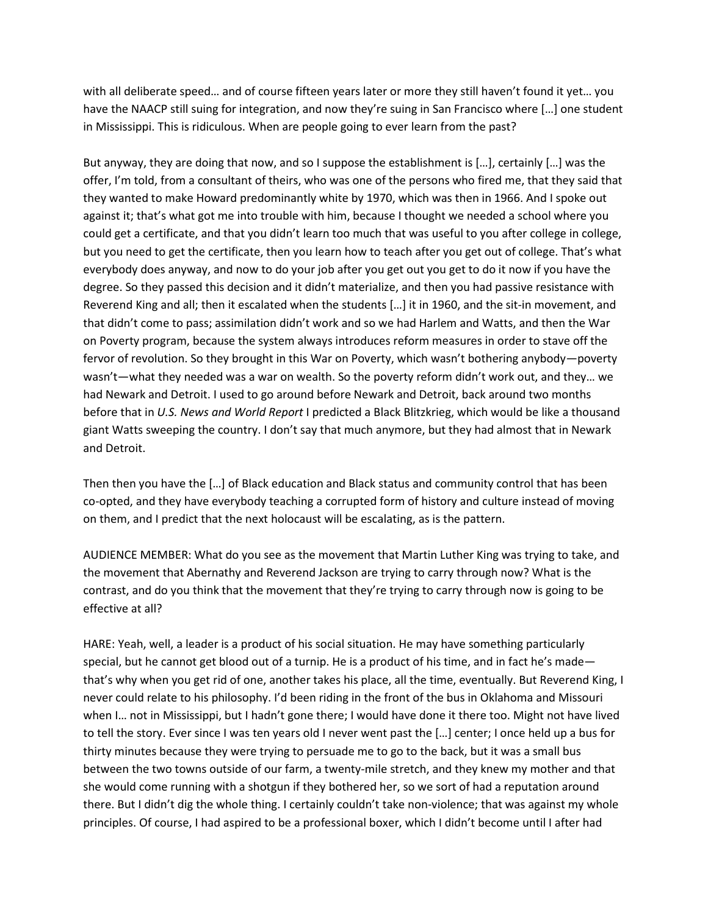with all deliberate speed… and of course fifteen years later or more they still haven't found it yet… you have the NAACP still suing for integration, and now they're suing in San Francisco where […] one student in Mississippi. This is ridiculous. When are people going to ever learn from the past?

But anyway, they are doing that now, and so I suppose the establishment is […], certainly […] was the offer, I'm told, from a consultant of theirs, who was one of the persons who fired me, that they said that they wanted to make Howard predominantly white by 1970, which was then in 1966. And I spoke out against it; that's what got me into trouble with him, because I thought we needed a school where you could get a certificate, and that you didn't learn too much that was useful to you after college in college, but you need to get the certificate, then you learn how to teach after you get out of college. That's what everybody does anyway, and now to do your job after you get out you get to do it now if you have the degree. So they passed this decision and it didn't materialize, and then you had passive resistance with Reverend King and all; then it escalated when the students […] it in 1960, and the sit-in movement, and that didn't come to pass; assimilation didn't work and so we had Harlem and Watts, and then the War on Poverty program, because the system always introduces reform measures in order to stave off the fervor of revolution. So they brought in this War on Poverty, which wasn't bothering anybody—poverty wasn't—what they needed was a war on wealth. So the poverty reform didn't work out, and they… we had Newark and Detroit. I used to go around before Newark and Detroit, back around two months before that in *U.S. News and World Report* I predicted a Black Blitzkrieg, which would be like a thousand giant Watts sweeping the country. I don't say that much anymore, but they had almost that in Newark and Detroit.

Then then you have the […] of Black education and Black status and community control that has been co-opted, and they have everybody teaching a corrupted form of history and culture instead of moving on them, and I predict that the next holocaust will be escalating, as is the pattern.

AUDIENCE MEMBER: What do you see as the movement that Martin Luther King was trying to take, and the movement that Abernathy and Reverend Jackson are trying to carry through now? What is the contrast, and do you think that the movement that they're trying to carry through now is going to be effective at all?

HARE: Yeah, well, a leader is a product of his social situation. He may have something particularly special, but he cannot get blood out of a turnip. He is a product of his time, and in fact he's made that's why when you get rid of one, another takes his place, all the time, eventually. But Reverend King, I never could relate to his philosophy. I'd been riding in the front of the bus in Oklahoma and Missouri when I… not in Mississippi, but I hadn't gone there; I would have done it there too. Might not have lived to tell the story. Ever since I was ten years old I never went past the […] center; I once held up a bus for thirty minutes because they were trying to persuade me to go to the back, but it was a small bus between the two towns outside of our farm, a twenty-mile stretch, and they knew my mother and that she would come running with a shotgun if they bothered her, so we sort of had a reputation around there. But I didn't dig the whole thing. I certainly couldn't take non-violence; that was against my whole principles. Of course, I had aspired to be a professional boxer, which I didn't become until I after had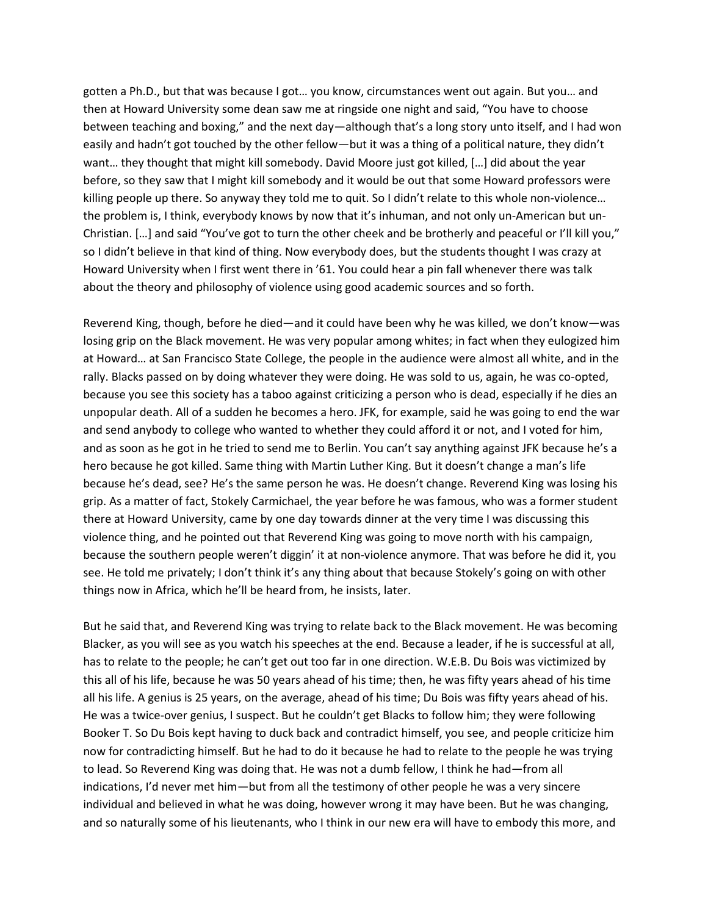gotten a Ph.D., but that was because I got… you know, circumstances went out again. But you… and then at Howard University some dean saw me at ringside one night and said, "You have to choose between teaching and boxing," and the next day—although that's a long story unto itself, and I had won easily and hadn't got touched by the other fellow—but it was a thing of a political nature, they didn't want… they thought that might kill somebody. David Moore just got killed, […] did about the year before, so they saw that I might kill somebody and it would be out that some Howard professors were killing people up there. So anyway they told me to quit. So I didn't relate to this whole non-violence… the problem is, I think, everybody knows by now that it's inhuman, and not only un-American but un-Christian. […] and said "You've got to turn the other cheek and be brotherly and peaceful or I'll kill you," so I didn't believe in that kind of thing. Now everybody does, but the students thought I was crazy at Howard University when I first went there in '61. You could hear a pin fall whenever there was talk about the theory and philosophy of violence using good academic sources and so forth.

Reverend King, though, before he died—and it could have been why he was killed, we don't know—was losing grip on the Black movement. He was very popular among whites; in fact when they eulogized him at Howard… at San Francisco State College, the people in the audience were almost all white, and in the rally. Blacks passed on by doing whatever they were doing. He was sold to us, again, he was co-opted, because you see this society has a taboo against criticizing a person who is dead, especially if he dies an unpopular death. All of a sudden he becomes a hero. JFK, for example, said he was going to end the war and send anybody to college who wanted to whether they could afford it or not, and I voted for him, and as soon as he got in he tried to send me to Berlin. You can't say anything against JFK because he's a hero because he got killed. Same thing with Martin Luther King. But it doesn't change a man's life because he's dead, see? He's the same person he was. He doesn't change. Reverend King was losing his grip. As a matter of fact, Stokely Carmichael, the year before he was famous, who was a former student there at Howard University, came by one day towards dinner at the very time I was discussing this violence thing, and he pointed out that Reverend King was going to move north with his campaign, because the southern people weren't diggin' it at non-violence anymore. That was before he did it, you see. He told me privately; I don't think it's any thing about that because Stokely's going on with other things now in Africa, which he'll be heard from, he insists, later.

But he said that, and Reverend King was trying to relate back to the Black movement. He was becoming Blacker, as you will see as you watch his speeches at the end. Because a leader, if he is successful at all, has to relate to the people; he can't get out too far in one direction. W.E.B. Du Bois was victimized by this all of his life, because he was 50 years ahead of his time; then, he was fifty years ahead of his time all his life. A genius is 25 years, on the average, ahead of his time; Du Bois was fifty years ahead of his. He was a twice-over genius, I suspect. But he couldn't get Blacks to follow him; they were following Booker T. So Du Bois kept having to duck back and contradict himself, you see, and people criticize him now for contradicting himself. But he had to do it because he had to relate to the people he was trying to lead. So Reverend King was doing that. He was not a dumb fellow, I think he had—from all indications, I'd never met him—but from all the testimony of other people he was a very sincere individual and believed in what he was doing, however wrong it may have been. But he was changing, and so naturally some of his lieutenants, who I think in our new era will have to embody this more, and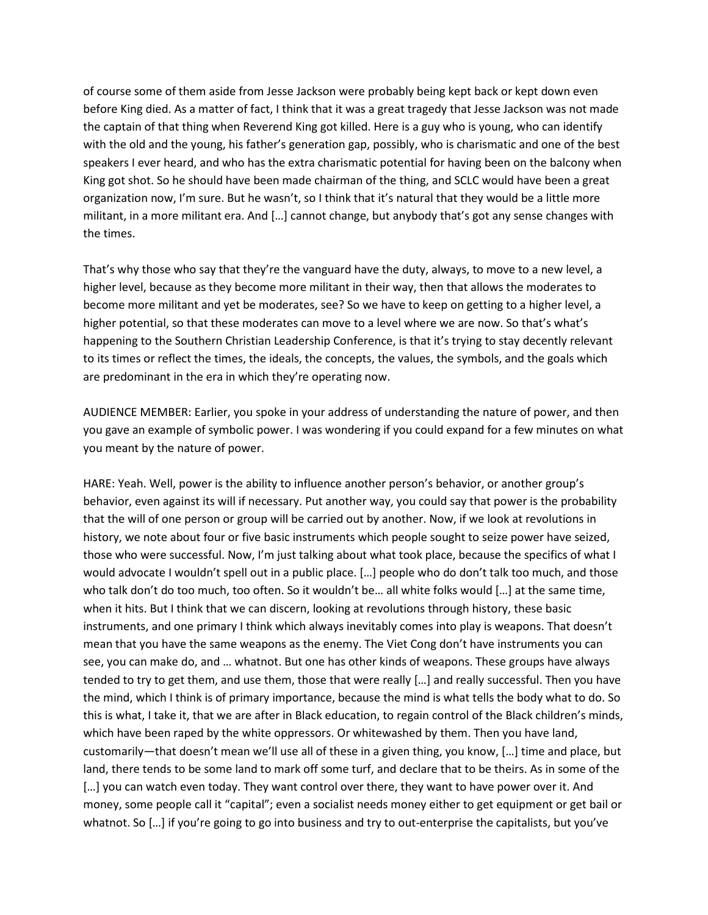of course some of them aside from Jesse Jackson were probably being kept back or kept down even before King died. As a matter of fact, I think that it was a great tragedy that Jesse Jackson was not made the captain of that thing when Reverend King got killed. Here is a guy who is young, who can identify with the old and the young, his father's generation gap, possibly, who is charismatic and one of the best speakers I ever heard, and who has the extra charismatic potential for having been on the balcony when King got shot. So he should have been made chairman of the thing, and SCLC would have been a great organization now, I'm sure. But he wasn't, so I think that it's natural that they would be a little more militant, in a more militant era. And […] cannot change, but anybody that's got any sense changes with the times.

That's why those who say that they're the vanguard have the duty, always, to move to a new level, a higher level, because as they become more militant in their way, then that allows the moderates to become more militant and yet be moderates, see? So we have to keep on getting to a higher level, a higher potential, so that these moderates can move to a level where we are now. So that's what's happening to the Southern Christian Leadership Conference, is that it's trying to stay decently relevant to its times or reflect the times, the ideals, the concepts, the values, the symbols, and the goals which are predominant in the era in which they're operating now.

AUDIENCE MEMBER: Earlier, you spoke in your address of understanding the nature of power, and then you gave an example of symbolic power. I was wondering if you could expand for a few minutes on what you meant by the nature of power.

HARE: Yeah. Well, power is the ability to influence another person's behavior, or another group's behavior, even against its will if necessary. Put another way, you could say that power is the probability that the will of one person or group will be carried out by another. Now, if we look at revolutions in history, we note about four or five basic instruments which people sought to seize power have seized, those who were successful. Now, I'm just talking about what took place, because the specifics of what I would advocate I wouldn't spell out in a public place. […] people who do don't talk too much, and those who talk don't do too much, too often. So it wouldn't be... all white folks would [...] at the same time, when it hits. But I think that we can discern, looking at revolutions through history, these basic instruments, and one primary I think which always inevitably comes into play is weapons. That doesn't mean that you have the same weapons as the enemy. The Viet Cong don't have instruments you can see, you can make do, and … whatnot. But one has other kinds of weapons. These groups have always tended to try to get them, and use them, those that were really […] and really successful. Then you have the mind, which I think is of primary importance, because the mind is what tells the body what to do. So this is what, I take it, that we are after in Black education, to regain control of the Black children's minds, which have been raped by the white oppressors. Or whitewashed by them. Then you have land, customarily—that doesn't mean we'll use all of these in a given thing, you know, […] time and place, but land, there tends to be some land to mark off some turf, and declare that to be theirs. As in some of the […] you can watch even today. They want control over there, they want to have power over it. And money, some people call it "capital"; even a socialist needs money either to get equipment or get bail or whatnot. So [...] if you're going to go into business and try to out-enterprise the capitalists, but you've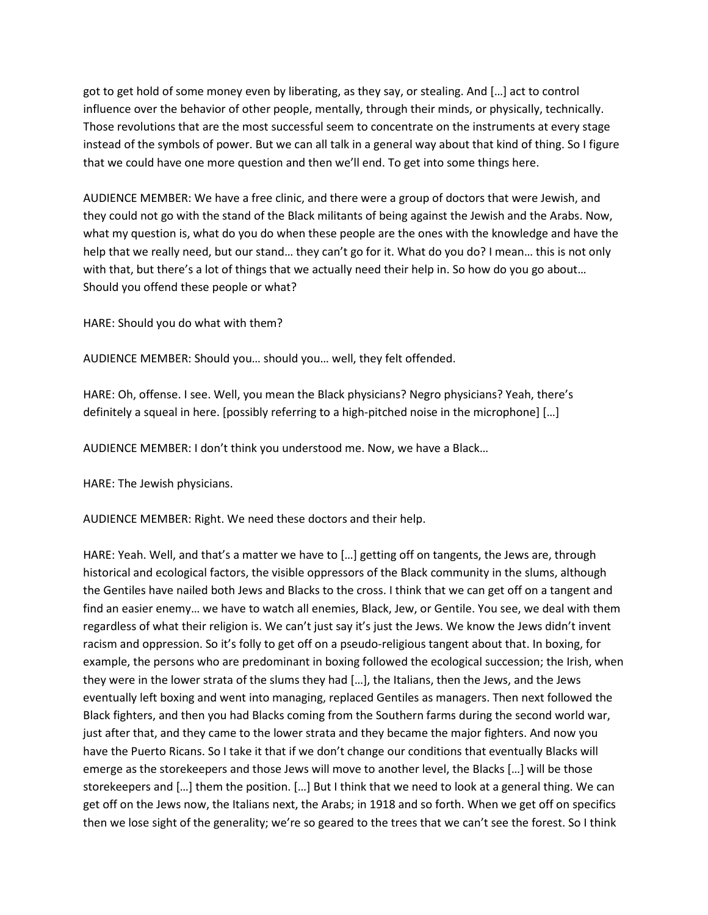got to get hold of some money even by liberating, as they say, or stealing. And […] act to control influence over the behavior of other people, mentally, through their minds, or physically, technically. Those revolutions that are the most successful seem to concentrate on the instruments at every stage instead of the symbols of power. But we can all talk in a general way about that kind of thing. So I figure that we could have one more question and then we'll end. To get into some things here.

AUDIENCE MEMBER: We have a free clinic, and there were a group of doctors that were Jewish, and they could not go with the stand of the Black militants of being against the Jewish and the Arabs. Now, what my question is, what do you do when these people are the ones with the knowledge and have the help that we really need, but our stand… they can't go for it. What do you do? I mean… this is not only with that, but there's a lot of things that we actually need their help in. So how do you go about... Should you offend these people or what?

HARE: Should you do what with them?

AUDIENCE MEMBER: Should you… should you… well, they felt offended.

HARE: Oh, offense. I see. Well, you mean the Black physicians? Negro physicians? Yeah, there's definitely a squeal in here. [possibly referring to a high-pitched noise in the microphone] […]

AUDIENCE MEMBER: I don't think you understood me. Now, we have a Black…

HARE: The Jewish physicians.

AUDIENCE MEMBER: Right. We need these doctors and their help.

HARE: Yeah. Well, and that's a matter we have to […] getting off on tangents, the Jews are, through historical and ecological factors, the visible oppressors of the Black community in the slums, although the Gentiles have nailed both Jews and Blacks to the cross. I think that we can get off on a tangent and find an easier enemy… we have to watch all enemies, Black, Jew, or Gentile. You see, we deal with them regardless of what their religion is. We can't just say it's just the Jews. We know the Jews didn't invent racism and oppression. So it's folly to get off on a pseudo-religious tangent about that. In boxing, for example, the persons who are predominant in boxing followed the ecological succession; the Irish, when they were in the lower strata of the slums they had […], the Italians, then the Jews, and the Jews eventually left boxing and went into managing, replaced Gentiles as managers. Then next followed the Black fighters, and then you had Blacks coming from the Southern farms during the second world war, just after that, and they came to the lower strata and they became the major fighters. And now you have the Puerto Ricans. So I take it that if we don't change our conditions that eventually Blacks will emerge as the storekeepers and those Jews will move to another level, the Blacks […] will be those storekeepers and […] them the position. […] But I think that we need to look at a general thing. We can get off on the Jews now, the Italians next, the Arabs; in 1918 and so forth. When we get off on specifics then we lose sight of the generality; we're so geared to the trees that we can't see the forest. So I think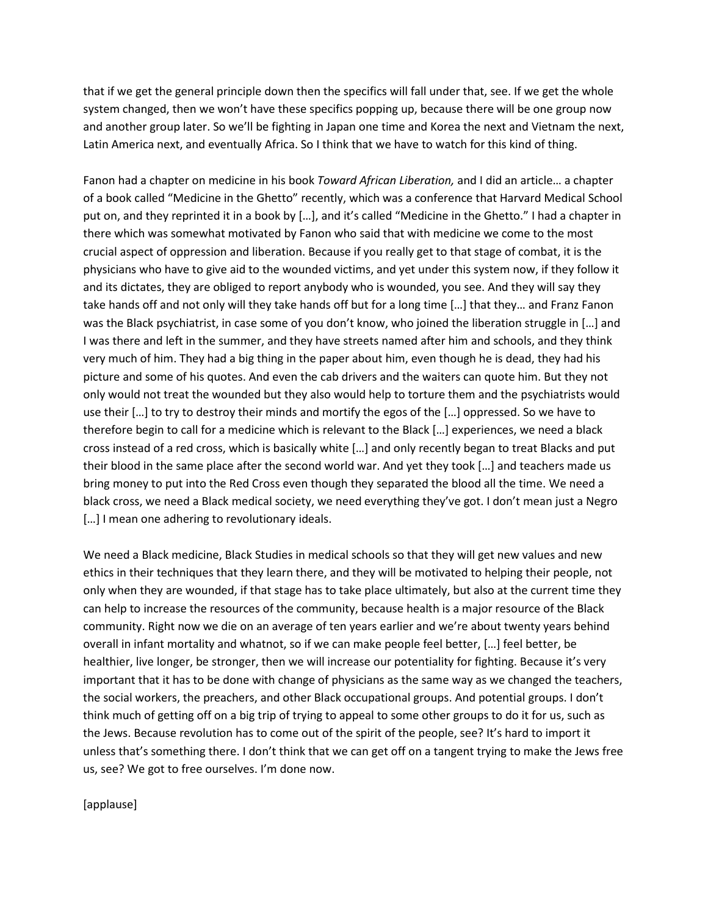that if we get the general principle down then the specifics will fall under that, see. If we get the whole system changed, then we won't have these specifics popping up, because there will be one group now and another group later. So we'll be fighting in Japan one time and Korea the next and Vietnam the next, Latin America next, and eventually Africa. So I think that we have to watch for this kind of thing.

Fanon had a chapter on medicine in his book *Toward African Liberation,* and I did an article… a chapter of a book called "Medicine in the Ghetto" recently, which was a conference that Harvard Medical School put on, and they reprinted it in a book by […], and it's called "Medicine in the Ghetto." I had a chapter in there which was somewhat motivated by Fanon who said that with medicine we come to the most crucial aspect of oppression and liberation. Because if you really get to that stage of combat, it is the physicians who have to give aid to the wounded victims, and yet under this system now, if they follow it and its dictates, they are obliged to report anybody who is wounded, you see. And they will say they take hands off and not only will they take hands off but for a long time […] that they… and Franz Fanon was the Black psychiatrist, in case some of you don't know, who joined the liberation struggle in […] and I was there and left in the summer, and they have streets named after him and schools, and they think very much of him. They had a big thing in the paper about him, even though he is dead, they had his picture and some of his quotes. And even the cab drivers and the waiters can quote him. But they not only would not treat the wounded but they also would help to torture them and the psychiatrists would use their […] to try to destroy their minds and mortify the egos of the […] oppressed. So we have to therefore begin to call for a medicine which is relevant to the Black […] experiences, we need a black cross instead of a red cross, which is basically white […] and only recently began to treat Blacks and put their blood in the same place after the second world war. And yet they took […] and teachers made us bring money to put into the Red Cross even though they separated the blood all the time. We need a black cross, we need a Black medical society, we need everything they've got. I don't mean just a Negro [...] I mean one adhering to revolutionary ideals.

We need a Black medicine, Black Studies in medical schools so that they will get new values and new ethics in their techniques that they learn there, and they will be motivated to helping their people, not only when they are wounded, if that stage has to take place ultimately, but also at the current time they can help to increase the resources of the community, because health is a major resource of the Black community. Right now we die on an average of ten years earlier and we're about twenty years behind overall in infant mortality and whatnot, so if we can make people feel better, […] feel better, be healthier, live longer, be stronger, then we will increase our potentiality for fighting. Because it's very important that it has to be done with change of physicians as the same way as we changed the teachers, the social workers, the preachers, and other Black occupational groups. And potential groups. I don't think much of getting off on a big trip of trying to appeal to some other groups to do it for us, such as the Jews. Because revolution has to come out of the spirit of the people, see? It's hard to import it unless that's something there. I don't think that we can get off on a tangent trying to make the Jews free us, see? We got to free ourselves. I'm done now.

[applause]